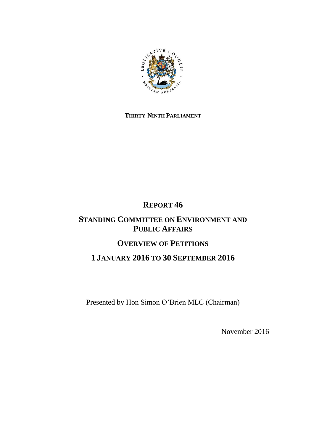

## **THIRTY-NINTH PARLIAMENT**

# **REPORT 46**

# **STANDING COMMITTEE ON ENVIRONMENT AND PUBLIC AFFAIRS**

# **OVERVIEW OF PETITIONS**

# **1 JANUARY 2016 TO 30 SEPTEMBER 2016**

Presented by Hon Simon O'Brien MLC (Chairman)

November 2016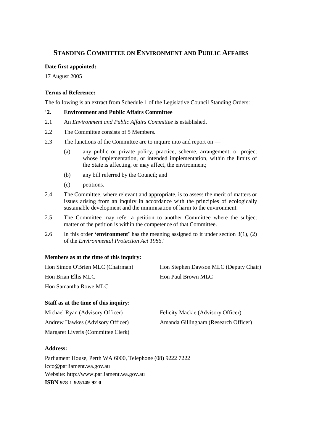### **STANDING COMMITTEE ON ENVIRONMENT AND PUBLIC AFFAIRS**

#### **Date first appointed:**

17 August 2005

### **Terms of Reference:**

The following is an extract from Schedule 1 of the Legislative Council Standing Orders:

### '**2. Environment and Public Affairs Committee**

- 2.1 An *Environment and Public Affairs Committee* is established.
- 2.2 The Committee consists of 5 Members.
- 2.3 The functions of the Committee are to inquire into and report on
	- (a) any public or private policy, practice, scheme, arrangement, or project whose implementation, or intended implementation, within the limits of the State is affecting, or may affect, the environment;
	- (b) any bill referred by the Council; and
	- (c) petitions.
- 2.4 The Committee, where relevant and appropriate, is to assess the merit of matters or issues arising from an inquiry in accordance with the principles of ecologically sustainable development and the minimisation of harm to the environment.
- 2.5 The Committee may refer a petition to another Committee where the subject matter of the petition is within the competence of that Committee.
- 2.6 In this order **'environment'** has the meaning assigned to it under section 3(1), (2) of the *Environmental Protection Act 1986*.'

### **Members as at the time of this inquiry:**

| Hon Simon O'Brien MLC (Chairman) | Hon Stephen Dawson MLC (Deputy Chair) |
|----------------------------------|---------------------------------------|
| Hon Brian Ellis MLC              | Hon Paul Brown MLC                    |
| Hon Samantha Rowe MLC            |                                       |

#### **Staff as at the time of this inquiry:**

| Michael Ryan (Advisory Officer)    | Felicity Mackie (Advisory Officer)   |
|------------------------------------|--------------------------------------|
| Andrew Hawkes (Advisory Officer)   | Amanda Gillingham (Research Officer) |
| Margaret Liveris (Committee Clerk) |                                      |

### **Address:**

Parliament House, Perth WA 6000, Telephone (08) 9222 7222 lcco@parliament.wa.gov.au Website: http://www.parliament.wa.gov.au **ISBN [978-1-925149-92-0](https://www.myidentifiers.com.au/myaccount_manageisbns_titlereg?isbn=978-1-925149-92-0&icon_type=new)**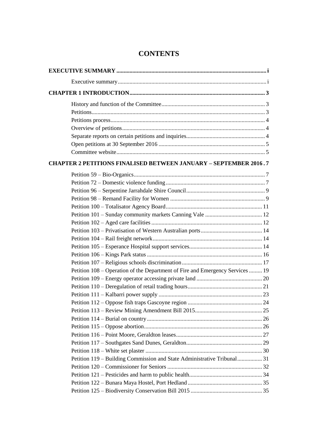| <b>CHAPTER 2 PETITIONS FINALISED BETWEEN JANUARY - SEPTEMBER 2016.7</b>       |  |
|-------------------------------------------------------------------------------|--|
|                                                                               |  |
|                                                                               |  |
|                                                                               |  |
|                                                                               |  |
|                                                                               |  |
|                                                                               |  |
|                                                                               |  |
|                                                                               |  |
|                                                                               |  |
|                                                                               |  |
|                                                                               |  |
|                                                                               |  |
| Petition 108 – Operation of the Department of Fire and Emergency Services  19 |  |
|                                                                               |  |
|                                                                               |  |
|                                                                               |  |
|                                                                               |  |
|                                                                               |  |
|                                                                               |  |
|                                                                               |  |
|                                                                               |  |
|                                                                               |  |
|                                                                               |  |
| Petition 119 – Building Commission and State Administrative Tribunal 31       |  |
|                                                                               |  |
|                                                                               |  |
|                                                                               |  |
|                                                                               |  |

# **CONTENTS**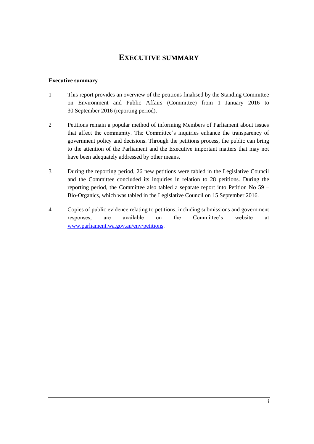### <span id="page-4-1"></span><span id="page-4-0"></span>**Executive summary**

- 1 This report provides an overview of the petitions finalised by the Standing Committee on Environment and Public Affairs (Committee) from 1 January 2016 to 30 September 2016 (reporting period).
- 2 Petitions remain a popular method of informing Members of Parliament about issues that affect the community. The Committee's inquiries enhance the transparency of government policy and decisions. Through the petitions process, the public can bring to the attention of the Parliament and the Executive important matters that may not have been adequately addressed by other means.
- 3 During the reporting period, 26 new petitions were tabled in the Legislative Council and the Committee concluded its inquiries in relation to 28 petitions. During the reporting period, the Committee also tabled a separate report into Petition No 59 – Bio-Organics, which was tabled in the Legislative Council on 15 September 2016.
- 4 Copies of public evidence relating to petitions, including submissions and government responses, are available on the Committee's website at [www.parliament.wa.gov.au/env/petitions.](http://www.parliament.wa.gov.au/env/petitions)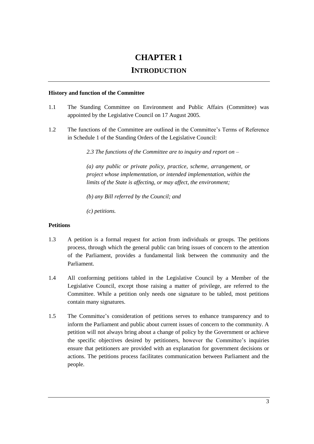# **CHAPTER 1 INTRODUCTION**

#### <span id="page-6-1"></span><span id="page-6-0"></span>**History and function of the Committee**

- 1.1 The Standing Committee on Environment and Public Affairs (Committee) was appointed by the Legislative Council on 17 August 2005.
- 1.2 The functions of the Committee are outlined in the Committee's Terms of Reference in Schedule 1 of the Standing Orders of the Legislative Council:

*2.3 The functions of the Committee are to inquiry and report on –*

*(a) any public or private policy, practice, scheme, arrangement, or project whose implementation, or intended implementation, within the limits of the State is affecting, or may affect, the environment;*

*(b) any Bill referred by the Council; and*

*(c) petitions.*

### <span id="page-6-2"></span>**Petitions**

- 1.3 A petition is a formal request for action from individuals or groups. The petitions process, through which the general public can bring issues of concern to the attention of the Parliament, provides a fundamental link between the community and the Parliament.
- 1.4 All conforming petitions tabled in the Legislative Council by a Member of the Legislative Council, except those raising a matter of privilege, are referred to the Committee. While a petition only needs one signature to be tabled, most petitions contain many signatures.
- 1.5 The Committee's consideration of petitions serves to enhance transparency and to inform the Parliament and public about current issues of concern to the community. A petition will not always bring about a change of policy by the Government or achieve the specific objectives desired by petitioners, however the Committee's inquiries ensure that petitioners are provided with an explanation for government decisions or actions. The petitions process facilitates communication between Parliament and the people.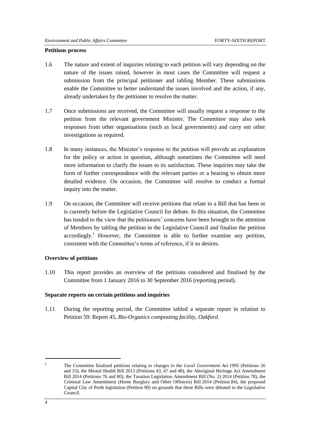#### <span id="page-7-0"></span>**Petitions process**

- 1.6 The nature and extent of inquiries relating to each petition will vary depending on the nature of the issues raised, however in most cases the Committee will request a submission from the principal petitioner and tabling Member. These submissions enable the Committee to better understand the issues involved and the action, if any, already undertaken by the petitioner to resolve the matter.
- 1.7 Once submissions are received, the Committee will usually request a response to the petition from the relevant government Minister. The Committee may also seek responses from other organisations (such as local governments) and carry out other investigations as required.
- 1.8 In many instances, the Minister's response to the petition will provide an explanation for the policy or action in question, although sometimes the Committee will need more information to clarify the issues to its satisfaction. These inquiries may take the form of further correspondence with the relevant parties or a hearing to obtain more detailed evidence. On occasion, the Committee will resolve to conduct a formal inquiry into the matter.
- 1.9 On occasion, the Committee will receive petitions that relate to a Bill that has been or is currently before the Legislative Council for debate. In this situation, the Committee has tended to the view that the petitioners' concerns have been brought to the attention of Members by tabling the petition in the Legislative Council and finalise the petition  $accordingly.<sup>1</sup> However, the Committee is able to further examine any pertinent.$ consistent with the Committee's terms of reference, if it so desires.

#### <span id="page-7-1"></span>**Overview of petitions**

1.10 This report provides an overview of the petitions considered and finalised by the Committee from 1 January 2016 to 30 September 2016 (reporting period).

#### <span id="page-7-2"></span>**Separate reports on certain petitions and inquiries**

1.11 During the reporting period, the Committee tabled a separate report in relation to Petition 59: Report 45, *Bio-Organics composting facility, Oakford*.

1

<sup>&</sup>lt;sup>1</sup> The Committee finalised petitions relating to changes to the *Local Government Act* 1995 (Petitions 26 and 33), the Mental Health Bill 2013 (Petitions 43, 47 and 48), the Aboriginal Heritage Act Amendment Bill 2014 (Petitions 76 and 80), the Taxation Legislation Amendment Bill (No. 2) 2014 (Petition 78), the Criminal Law Amendment (Home Burglary and Other Offences) Bill 2014 (Petition 84), the proposed Capital City of Perth legislation (Petition 90) on grounds that these Bills were debated in the Legislative Council.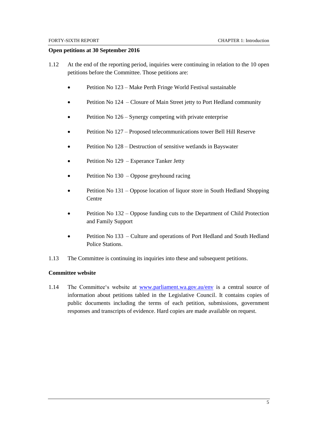#### <span id="page-8-0"></span>**Open petitions at 30 September 2016**

- 1.12 At the end of the reporting period, inquiries were continuing in relation to the 10 open petitions before the Committee. Those petitions are:
	- Petition No 123 Make Perth Fringe World Festival sustainable
	- Petition No 124 Closure of Main Street jetty to Port Hedland community
	- Petition No 126 Synergy competing with private enterprise
	- Petition No 127 Proposed telecommunications tower Bell Hill Reserve
	- Petition No 128 Destruction of sensitive wetlands in Bayswater
	- Petition No 129 Esperance Tanker Jetty
	- Petition No 130 Oppose greyhound racing
	- Petition No 131 Oppose location of liquor store in South Hedland Shopping **Centre**
	- Petition No 132 Oppose funding cuts to the Department of Child Protection and Family Support
	- Petition No 133 Culture and operations of Port Hedland and South Hedland Police Stations.
- 1.13 The Committee is continuing its inquiries into these and subsequent petitions.

#### <span id="page-8-1"></span>**Committee website**

1.14 The Committee's website at [www.parliament.wa.gov.au/env](http://www.parliament.wa.gov.au/env) is a central source of information about petitions tabled in the Legislative Council. It contains copies of public documents including the terms of each petition, submissions, government responses and transcripts of evidence. Hard copies are made available on request.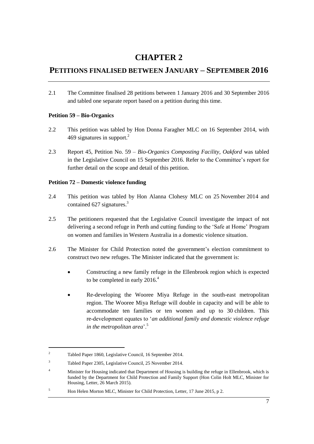# **CHAPTER 2**

# <span id="page-10-0"></span>**PETITIONS FINALISED BETWEEN JANUARY – SEPTEMBER 2016**

2.1 The Committee finalised 28 petitions between 1 January 2016 and 30 September 2016 and tabled one separate report based on a petition during this time.

### <span id="page-10-1"></span>**Petition 59 – Bio-Organics**

- 2.2 This petition was tabled by Hon Donna Faragher MLC on 16 September 2014, with 469 signatures in support.<sup>2</sup>
- 2.3 Report 45, Petition No. 59 *Bio-Organics Composting Facility, Oakford* was tabled in the Legislative Council on 15 September 2016. Refer to the Committee's report for further detail on the scope and detail of this petition.

### <span id="page-10-2"></span>**Petition 72 – Domestic violence funding**

- 2.4 This petition was tabled by Hon Alanna Clohesy MLC on 25 November 2014 and contained 627 signatures.<sup>3</sup>
- 2.5 The petitioners requested that the Legislative Council investigate the impact of not delivering a second refuge in Perth and cutting funding to the 'Safe at Home' Program on women and families in Western Australia in a domestic violence situation.
- 2.6 The Minister for Child Protection noted the government's election commitment to construct two new refuges. The Minister indicated that the government is:
	- Constructing a new family refuge in the Ellenbrook region which is expected to be completed in early 2016.<sup>4</sup>
	- Re-developing the Wooree Miya Refuge in the south-east metropolitan region. The Wooree Miya Refuge will double in capacity and will be able to accommodate ten families or ten women and up to 30 children. This re-development equates to '*an additional family and domestic violence refuge in the metropolitan area*'.<sup>5</sup>

<sup>2</sup> Tabled Paper 1860, Legislative Council, 16 September 2014.

<sup>3</sup> Tabled Paper 2305, Legislative Council, 25 November 2014.

Minister for Housing indicated that Department of Housing is building the refuge in Ellenbrook, which is funded by the Department for Child Protection and Family Support (Hon Colin Holt MLC, Minister for Housing, Letter, 26 March 2015).

<sup>&</sup>lt;sup>5</sup> Hon Helen Morton MLC, Minister for Child Protection, Letter, 17 June 2015, p 2.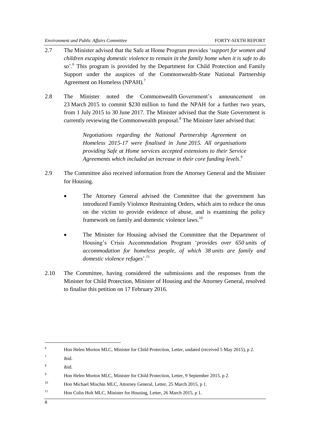- 2.7 The Minister advised that the Safe at Home Program provides '*support for women and children escaping domestic violence to remain in the family home when it is safe to do so*'.<sup>6</sup> This program is provided by the Department for Child Protection and Family Support under the auspices of the Commonwealth-State National Partnership Agreement on Homeless (NPAH).<sup>7</sup>
- 2.8 The Minister noted the Commonwealth Government's announcement on 23 March 2015 to commit \$230 million to fund the NPAH for a further two years, from 1 July 2015 to 30 June 2017. The Minister advised that the State Government is currently reviewing the Commonwealth proposal.<sup>8</sup> The Minister later advised that:

*Negotiations regarding the National Partnership Agreement on Homeless 2015-17 were finalised in June 2015. All organisations providing Safe at Home services accepted extensions to their Service Agreements which included an increase in their core funding levels*. 9

- 2.9 The Committee also received information from the Attorney General and the Minister for Housing.
	- The Attorney General advised the Committee that the government has introduced Family Violence Restraining Orders, which aim to reduce the onus on the victim to provide evidence of abuse, and is examining the policy framework on family and domestic violence laws.<sup>10</sup>
	- The Minister for Housing advised the Committee that the Department of Housing's Crisis Accommodation Program '*provides over 650 units of accommodation for homeless people, of which 38 units are family and*  domestic violence refuges<sup>'.11</sup>
- 2.10 The Committee, having considered the submissions and the responses from the Minister for Child Protection, Minister of Housing and the Attorney General, resolved to finalise this petition on 17 February 2016.

<sup>11</sup> Hon Colin Holt MLC, Minister for Housing, Letter, 26 March 2015, p 1.

1

<sup>&</sup>lt;sup>6</sup> Hon Helen Morton MLC, Minister for Child Protection, Letter, undated (received 5 May 2015), p 2.

<sup>7</sup> ibid.

<sup>8</sup> ibid.

<sup>&</sup>lt;sup>9</sup> Hon Helen Morton MLC, Minister for Child Protection, Letter, 9 September 2015, p 2.

<sup>&</sup>lt;sup>10</sup> Hon Michael Mischin MLC, Attorney General, Letter, 25 March 2015, p 1.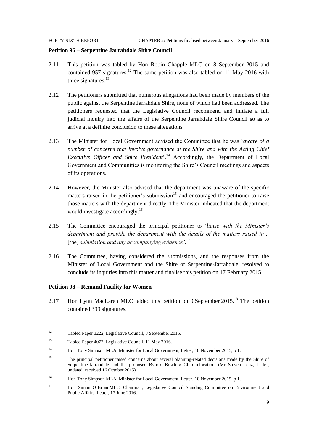#### <span id="page-12-0"></span>**Petition 96 – Serpentine Jarrahdale Shire Council**

- 2.11 This petition was tabled by Hon Robin Chapple MLC on 8 September 2015 and contained 957 signatures.<sup>12</sup> The same petition was also tabled on 11 May 2016 with three signatures.<sup>13</sup>
- 2.12 The petitioners submitted that numerous allegations had been made by members of the public against the Serpentine Jarrahdale Shire, none of which had been addressed. The petitioners requested that the Legislative Council recommend and initiate a full judicial inquiry into the affairs of the Serpentine Jarrahdale Shire Council so as to arrive at a definite conclusion to these allegations.
- 2.13 The Minister for Local Government advised the Committee that he was '*aware of a number of concerns that involve governance at the Shire and with the Acting Chief Executive Officer and Shire President*'.<sup>14</sup> Accordingly, the Department of Local Government and Communities is monitoring the Shire's Council meetings and aspects of its operations.
- 2.14 However, the Minister also advised that the department was unaware of the specific matters raised in the petitioner's submission $15$  and encouraged the petitioner to raise those matters with the department directly. The Minister indicated that the department would investigate accordingly.<sup>16</sup>
- 2.15 The Committee encouraged the principal petitioner to '*liaise with the Minister's department and provide the department with the details of the matters raised in…*  [the] *submission and any accompanying evidence'*. 17
- 2.16 The Committee, having considered the submissions, and the responses from the Minister of Local Government and the Shire of Serpentine-Jarrahdale, resolved to conclude its inquiries into this matter and finalise this petition on 17 February 2015.

#### <span id="page-12-1"></span>**Petition 98 – Remand Facility for Women**

 $\overline{\phantom{a}}$ 

2.17 Hon Lynn MacLaren MLC tabled this petition on 9 September 2015.<sup>18</sup> The petition contained 399 signatures.

<sup>12</sup> Tabled Paper 3222, Legislative Council, 8 September 2015.

<sup>13</sup> Tabled Paper 4077, Legislative Council, 11 May 2016.

<sup>&</sup>lt;sup>14</sup> Hon Tony Simpson MLA, Minister for Local Government, Letter, 10 November 2015, p 1.

<sup>&</sup>lt;sup>15</sup> The principal petitioner raised concerns about several planning-related decisions made by the Shire of Serpentine-Jarrahdale and the proposed Byford Bowling Club relocation. (Mr Steven Lenz, Letter, undated, received 16 October 2015).

<sup>&</sup>lt;sup>16</sup> Hon Tony Simpson MLA, Minister for Local Government, Letter, 10 November 2015, p 1.

<sup>17</sup> Hon Simon O'Brien MLC, Chairman, Legislative Council Standing Committee on Environment and Public Affairs, Letter, 17 June 2016.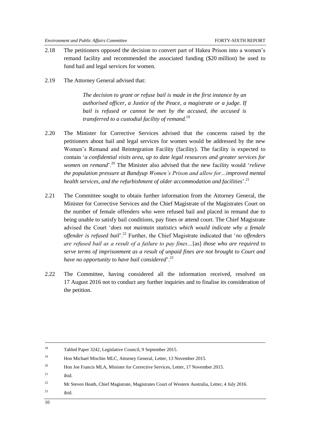- 2.18 The petitioners opposed the decision to convert part of Hakea Prison into a women's remand facility and recommended the associated funding (\$20 million) be used to fund bail and legal services for women.
- 2.19 The Attorney General advised that:

*The decision to grant or refuse bail is made in the first instance by an authorised officer, a Justice of the Peace, a magistrate or a judge. If bail is refused or cannot be met by the accused, the accused is transferred to a custodial facility of remand.*<sup>19</sup>

- 2.20 The Minister for Corrective Services advised that the concerns raised by the petitioners about bail and legal services for women would be addressed by the new Women's Remand and Reintegration Facility (facility). The facility is expected to contain '*a confidential visits area, up to date legal resources and greater services for women on remand*'.<sup>20</sup> The Minister also advised that the new facility would '*relieve the population pressure at Bandyup Women's Prison and allow for…improved mental health services, and the refurbishment of older accommodation and facilities*<sup>'.21</sup>
- 2.21 The Committee sought to obtain further information from the Attorney General, the Minister for Corrective Services and the Chief Magistrate of the Magistrates Court on the number of female offenders who were refused bail and placed in remand due to being unable to satisfy bail conditions, pay fines or attend court. The Chief Magistrate advised the Court '*does not maintain statistics which would indicate why a female offender is refused bail*'.<sup>22</sup> Further, the Chief Magistrate indicated that '*no offenders are refused bail as a result of a failure to pay fines…*[as] *those who are required to serve terms of imprisonment as a result of unpaid fines are not brought to Court and have no opportunity to have bail considered*'.<sup>23</sup>
- 2.22 The Committee, having considered all the information received, resolved on 17 August 2016 not to conduct any further inquiries and to finalise its consideration of the petition.

 $21$  ibid.

<sup>23</sup> ibid.

1

<sup>18</sup> Tabled Paper 3242, Legislative Council, 9 September 2015.

<sup>19</sup> Hon Michael Mischin MLC, Attorney General, Letter, 13 November 2015.

<sup>&</sup>lt;sup>20</sup> Hon Joe Francis MLA, Minister for Corrective Services, Letter, 17 November 2015.

<sup>&</sup>lt;sup>22</sup> Mr Steven Heath, Chief Magistrate, Magistrates Court of Western Australia, Letter, 4 July 2016.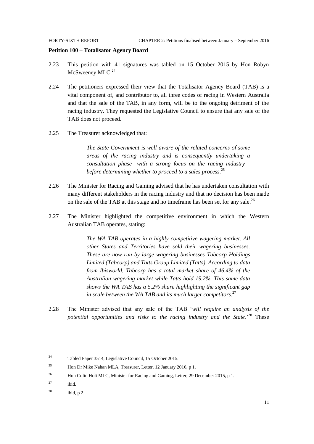#### <span id="page-14-0"></span>**Petition 100 – Totalisator Agency Board**

- 2.23 This petition with 41 signatures was tabled on 15 October 2015 by Hon Robyn McSweeney MLC.<sup>24</sup>
- 2.24 The petitioners expressed their view that the Totalisator Agency Board (TAB) is a vital component of, and contributor to, all three codes of racing in Western Australia and that the sale of the TAB, in any form, will be to the ongoing detriment of the racing industry. They requested the Legislative Council to ensure that any sale of the TAB does not proceed.
- 2.25 The Treasurer acknowledged that:

*The State Government is well aware of the related concerns of some areas of the racing industry and is consequently undertaking a consultation phase—with a strong focus on the racing industry before determining whether to proceed to a sales process.* 25

- 2.26 The Minister for Racing and Gaming advised that he has undertaken consultation with many different stakeholders in the racing industry and that no decision has been made on the sale of the TAB at this stage and no timeframe has been set for any sale.<sup>26</sup>
- 2.27 The Minister highlighted the competitive environment in which the Western Australian TAB operates, stating:

*The WA TAB operates in a highly competitive wagering market. All other States and Territories have sold their wagering businesses. These are now run by large wagering businesses Tabcorp Holdings Limited (Tabcorp) and Tatts Group Limited (Tatts). According to data from lbisworld, Tabcorp has a total market share of 46.4% of the Australian wagering market while Tatts hold 19.2%. This same data shows the WA TAB has a 5.2% share highlighting the significant gap in scale between the WA TAB and its much larger competitors.*<sup>27</sup>

2.28 The Minister advised that any sale of the TAB '*will require an analysis of the potential opportunities and risks to the racing industry and the State*.'<sup>28</sup> These

<sup>27</sup> ibid.

l

 $28$  ibid, p 2.

<sup>24</sup> Tabled Paper 3514, Legislative Council, 15 October 2015.

<sup>25</sup> Hon Dr Mike Nahan MLA, Treasurer, Letter, 12 January 2016, p 1.

<sup>&</sup>lt;sup>26</sup> Hon Colin Holt MLC, Minister for Racing and Gaming, Letter, 29 December 2015, p 1.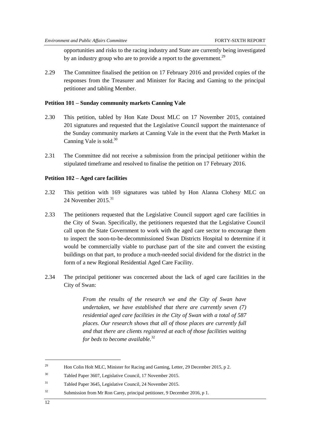opportunities and risks to the racing industry and State are currently being investigated by an industry group who are to provide a report to the government.<sup>29</sup>

2.29 The Committee finalised the petition on 17 February 2016 and provided copies of the responses from the Treasurer and Minister for Racing and Gaming to the principal petitioner and tabling Member.

#### <span id="page-15-0"></span>**Petition 101 – Sunday community markets Canning Vale**

- 2.30 This petition, tabled by Hon Kate Doust MLC on 17 November 2015, contained 201 signatures and requested that the Legislative Council support the maintenance of the Sunday community markets at Canning Vale in the event that the Perth Market in Canning Vale is sold.<sup>30</sup>
- 2.31 The Committee did not receive a submission from the principal petitioner within the stipulated timeframe and resolved to finalise the petition on 17 February 2016.

#### <span id="page-15-1"></span>**Petition 102 – Aged care facilities**

- 2.32 This petition with 169 signatures was tabled by Hon Alanna Clohesy MLC on 24 November 2015 $31$
- 2.33 The petitioners requested that the Legislative Council support aged care facilities in the City of Swan. Specifically, the petitioners requested that the Legislative Council call upon the State Government to work with the aged care sector to encourage them to inspect the soon-to-be-decommissioned Swan Districts Hospital to determine if it would be commercially viable to purchase part of the site and convert the existing buildings on that part, to produce a much-needed social dividend for the district in the form of a new Regional Residential Aged Care Facility.
- 2.34 The principal petitioner was concerned about the lack of aged care facilities in the City of Swan:

*From the results of the research we and the City of Swan have undertaken, we have established that there are currently seven (7) residential aged care facilities in the City of Swan with a total of 587 places. Our research shows that all of those places are currently full and that there are clients registered at each of those facilities waiting for beds to become available.*<sup>32</sup>

<sup>&</sup>lt;sup>29</sup> Hon Colin Holt MLC, Minister for Racing and Gaming, Letter, 29 December 2015, p 2.

<sup>30</sup> Tabled Paper 3607, Legislative Council, 17 November 2015.

<sup>31</sup> Tabled Paper 3645, Legislative Council, 24 November 2015.

<sup>32</sup> Submission from Mr Ron Carey, principal petitioner, 9 December 2016, p 1.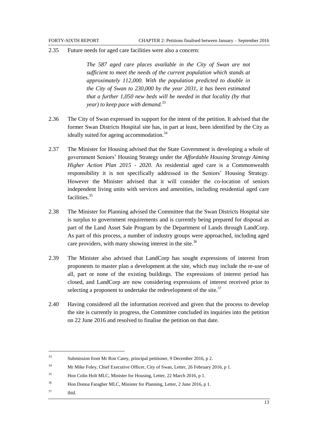2.35 Future needs for aged care facilities were also a concern:

*The 587 aged care places available in the City of Swan are not sufficient to meet the needs of the current population which stands at approximately 112,000. With the population predicted to double in the City of Swan to 230,000 by the year 2031, it has been estimated that a further 1,050 new beds will be needed in that locality (by that year) to keep pace with demand.*<sup>33</sup>

- 2.36 The City of Swan expressed its support for the intent of the petition. It advised that the former Swan Districts Hospital site has, in part at least, been identified by the City as ideally suited for ageing accommodation.<sup>34</sup>
- 2.37 The Minister for Housing advised that the State Government is developing a whole of government Seniors' Housing Strategy under the *Affordable Housing Strategy Aiming Higher Action Plan 2015 - 2020*. As residential aged care is a Commonwealth responsibility it is not specifically addressed in the Seniors' Housing Strategy. However the Minister advised that it will consider the co-location of seniors independent living units with services and amenities, including residential aged care facilities<sup>35</sup>
- 2.38 The Minister for Planning advised the Committee that the Swan Districts Hospital site is surplus to government requirements and is currently being prepared for disposal as part of the Land Asset Sale Program by the Department of Lands through LandCorp. As part of this process, a number of industry groups were approached, including aged care providers, with many showing interest in the site.<sup>36</sup>
- 2.39 The Minister also advised that LandCorp has sought expressions of interest from proponents to master plan a development at the site, which may include the re-use of all, part or none of the existing buildings. The expressions of interest period has closed, and LandCorp are now considering expressions of interest received prior to selecting a proponent to undertake the redevelopment of the site. $37$
- 2.40 Having considered all the information received and given that the process to develop the site is currently in progress, the Committee concluded its inquiries into the petition on 22 June 2016 and resolved to finalise the petition on that date.

<sup>37</sup> ibid.

<sup>33</sup> Submission from Mr Ron Carey, principal petitioner, 9 December 2016, p 2.

<sup>&</sup>lt;sup>34</sup> Mr Mike Foley, Chief Executive Officer, City of Swan, Letter, 26 February 2016, p 1.

<sup>35</sup> Hon Colin Holt MLC, Minister for Housing, Letter, 22 March 2016, p 1.

<sup>36</sup> Hon Donna Faragher MLC, Minister for Planning, Letter, 2 June 2016, p 1.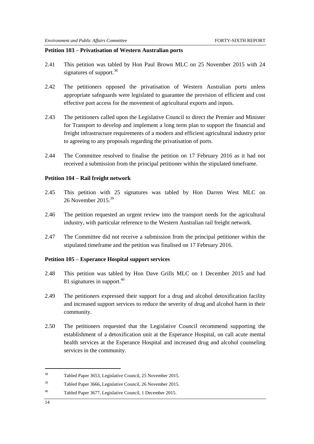#### <span id="page-17-0"></span>**Petition 103 – Privatisation of Western Australian ports**

- 2.41 This petition was tabled by Hon Paul Brown MLC on 25 November 2015 with 24 signatures of support.<sup>38</sup>
- 2.42 The petitioners opposed the privatisation of Western Australian ports unless appropriate safeguards were legislated to guarantee the provision of efficient and cost effective port access for the movement of agricultural exports and inputs.
- 2.43 The petitioners called upon the Legislative Council to direct the Premier and Minister for Transport to develop and implement a long term plan to support the financial and freight infrastructure requirements of a modern and efficient agricultural industry prior to agreeing to any proposals regarding the privatisation of ports.
- 2.44 The Committee resolved to finalise the petition on 17 February 2016 as it had not received a submission from the principal petitioner within the stipulated timeframe.

#### <span id="page-17-1"></span>**Petition 104 – Rail freight network**

- 2.45 This petition with 25 signatures was tabled by Hon Darren West MLC on 26 November 2015<sup>39</sup>
- 2.46 The petition requested an urgent review into the transport needs for the agricultural industry, with particular reference to the Western Australian rail freight network.
- 2.47 The Committee did not receive a submission from the principal petitioner within the stipulated timeframe and the petition was finalised on 17 February 2016.

#### <span id="page-17-2"></span>**Petition 105 – Esperance Hospital support services**

- 2.48 This petition was tabled by Hon Dave Grills MLC on 1 December 2015 and had 81 signatures in support.<sup>40</sup>
- 2.49 The petitioners expressed their support for a drug and alcohol detoxification facility and increased support services to reduce the severity of drug and alcohol harm in their community.
- 2.50 The petitioners requested that the Legislative Council recommend supporting the establishment of a detoxification unit at the Esperance Hospital, on call acute mental health services at the Esperance Hospital and increased drug and alcohol counseling services in the community.

1

<sup>38</sup> Tabled Paper 3653, Legislative Council, 25 November 2015.

<sup>39</sup> Tabled Paper 3666, Legislative Council, 26 November 2015.

<sup>40</sup> Tabled Paper 3677, Legislative Council, 1 December 2015.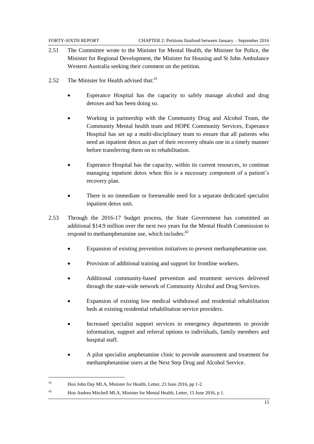- 2.51 The Committee wrote to the Minister for Mental Health, the Minister for Police, the Minister for Regional Development, the Minister for Housing and St John Ambulance Western Australia seeking their comment on the petition.
- 2.52 The Minister for Health advised that: $41$ 
	- Esperance Hospital has the capacity to safely manage alcohol and drug detoxes and has been doing so.
	- Working in partnership with the Community Drug and Alcohol Team, the Community Mental health team and HOPE Community Services, Esperance Hospital has set up a multi-disciplinary team to ensure that all patients who need an inpatient detox as part of their recovery obtain one in a timely manner before transferring them on to rehabilitation.
	- Esperance Hospital has the capacity, within its current resources, to continue managing inpatient detox when this is a necessary component of a patient's recovery plan.
	- There is no immediate or foreseeable need for a separate dedicated specialist inpatient detox unit.
- 2.53 Through the 2016-17 budget process, the State Government has committed an additional \$14.9 million over the next two years for the Mental Health Commission to respond to methamphetamine use, which includes:<sup>42</sup>
	- Expansion of existing prevention initiatives to prevent methamphetamine use.
	- Provision of additional training and support for frontline workers.
	- Additional community-based prevention and treatment services delivered through the state-wide network of Community Alcohol and Drug Services.
	- Expansion of existing low medical withdrawal and residential rehabilitation beds at existing residential rehabilitation service providers.
	- Increased specialist support services in emergency departments to provide information, support and referral options to individuals, family members and hospital staff.
	- A pilot specialist amphetamine clinic to provide assessment and treatment for methamphetamine users at the Next Step Drug and Alcohol Service.

 $\overline{\phantom{a}}$ 

<sup>&</sup>lt;sup>41</sup> Hon John Day MLA, Minister for Health, Letter, 23 June 2016, pp 1-2.

<sup>42</sup> Hon Andrea Mitchell MLA, Minister for Mental Health, Letter, 15 June 2016, p 1.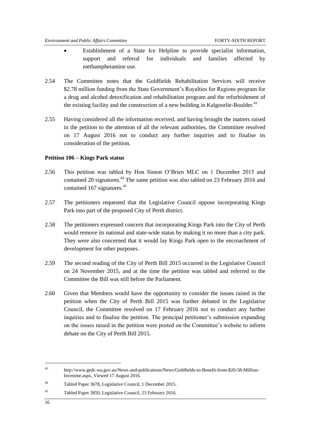- Establishment of a State Ice Helpline to provide specialist information, support and referral for individuals and families affected by methamphetamine use.
- 2.54 The Committee notes that the Goldfields Rehabilitation Services will receive \$2.78 million funding from the State Government's Royalties for Regions program for a drug and alcohol detoxification and rehabilitation program and the refurbishment of the existing facility and the construction of a new building in Kalgoorlie-Boulder.<sup>43</sup>
- 2.55 Having considered all the information received, and having brought the matters raised in the petition to the attention of all the relevant authorities, the Committee resolved on 17 August 2016 not to conduct any further inquiries and to finalise its consideration of the petition.

#### <span id="page-19-0"></span>**Petition 106 – Kings Park status**

- 2.56 This petition was tabled by Hon Simon O'Brien MLC on 1 December 2015 and contained 20 signatures.<sup>44</sup> The same petition was also tabled on 23 February 2016 and contained 167 signatures. $45$
- 2.57 The petitioners requested that the Legislative Council oppose incorporating Kings Park into part of the proposed City of Perth district.
- 2.58 The petitioners expressed concern that incorporating Kings Park into the City of Perth would remove its national and state-wide status by making it no more than a city park. They were also concerned that it would lay Kings Park open to the encroachment of development for other purposes.
- 2.59 The second reading of the City of Perth Bill 2015 occurred in the Legislative Council on 24 November 2015, and at the time the petition was tabled and referred to the Committee the Bill was still before the Parliament.
- 2.60 Given that Members would have the opportunity to consider the issues raised in the petition when the City of Perth Bill 2015 was further debated in the Legislative Council, the Committee resolved on 17 February 2016 not to conduct any further inquiries and to finalise the petition. The principal petitioner's submission expanding on the issues raised in the petition were posted on the Committee's website to inform debate on the City of Perth Bill 2015.

<sup>43</sup> http://www.gedc.wa.gov.au/News-and-publications/News/Goldfields-to-Benefit-from-\$20-58-Million-Investme.aspx, Viewed 17 August 2016.

<sup>44</sup> Tabled Paper 3678, Legislative Council, 1 December 2015.

<sup>45</sup> Tabled Paper 3850, Legislative Council, 23 February 2016.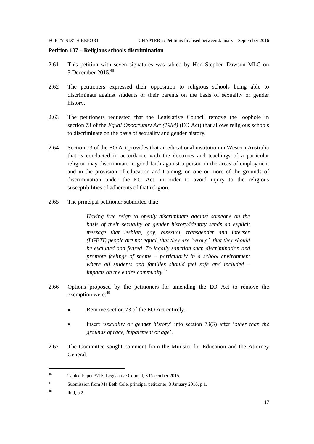#### <span id="page-20-0"></span>**Petition 107 – Religious schools discrimination**

- 2.61 This petition with seven signatures was tabled by Hon Stephen Dawson MLC on 3 December 2015.<sup>46</sup>
- 2.62 The petitioners expressed their opposition to religious schools being able to discriminate against students or their parents on the basis of sexuality or gender history.
- 2.63 The petitioners requested that the Legislative Council remove the loophole in section 73 of the *Equal Opportunity Act (1984)* (EO Act) that allows religious schools to discriminate on the basis of sexuality and gender history.
- 2.64 Section 73 of the EO Act provides that an educational institution in Western Australia that is conducted in accordance with the doctrines and teachings of a particular religion may discriminate in good faith against a person in the areas of employment and in the provision of education and training, on one or more of the grounds of discrimination under the EO Act, in order to avoid injury to the religious susceptibilities of adherents of that religion.
- 2.65 The principal petitioner submitted that:

*Having free reign to openly discriminate against someone on the basis of their sexuality or gender history/identity sends an explicit message that lesbian, gay, bisexual, transgender and intersex (LGBTI) people are not equal, that they are 'wrong', that they should be excluded and feared. To legally sanction such discrimination and promote feelings of shame – particularly in a school environment where all students and families should feel safe and included – impacts on the entire community.*<sup>47</sup>

- 2.66 Options proposed by the petitioners for amending the EO Act to remove the exemption were: 48
	- Remove section 73 of the EO Act entirely.
	- Insert '*sexuality or gender history*' into section 73(3) after '*other than the grounds of race, impairment or age*'.
- 2.67 The Committee sought comment from the Minister for Education and the Attorney General.

 $^{48}$  ibid, p 2.

<sup>46</sup> Tabled Paper 3715, Legislative Council, 3 December 2015.

<sup>47</sup> Submission from Ms Beth Cole, principal petitioner, 3 January 2016, p 1.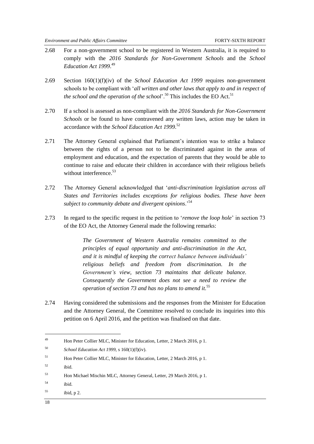- 2.68 For a non-government school to be registered in Western Australia, it is required to comply with the *2016 Standards for Non-Government Schools* and the *School Education Act 1999*. 49
- 2.69 Section 160(1)(f)(iv) of the *School Education Act 1999* requires non-government schools to be compliant with '*all written and other laws that apply to and in respect of the school and the operation of the school*'.<sup>50</sup> This includes the EO Act.<sup>51</sup>
- 2.70 If a school is assessed as non-compliant with the *2016 Standards for Non-Government Schools* or be found to have contravened any written laws, action may be taken in accordance with the *School Education Act 1999*. 52
- 2.71 The Attorney General explained that Parliament's intention was to strike a balance between the rights of a person not to be discriminated against in the areas of employment and education, and the expectation of parents that they would be able to continue to raise and educate their children in accordance with their religious beliefs without interference.<sup>53</sup>
- 2.72 The Attorney General acknowledged that '*anti-discrimination legislation across all States and Territories includes exceptions for religious bodies. These have been subject to community debate and divergent opinions*.'<sup>54</sup>
- 2.73 In regard to the specific request in the petition to '*remove the loop hole*' in section 73 of the EO Act, the Attorney General made the following remarks:

*The Government of Western Australia remains committed to the principles of equal opportunity and anti-discrimination in the Act, and it is mindful of keeping the correct balance between individuals' religious beliefs and freedom from discrimination. In the Government's view, section 73 maintains that delicate balance. Consequently the Government does not see a need to review the operation of section 73 and has no plans to amend it.*<sup>55</sup>

2.74 Having considered the submissions and the responses from the Minister for Education and the Attorney General, the Committee resolved to conclude its inquiries into this petition on 6 April 2016, and the petition was finalised on that date.

 $155$  ibid, p 2.

<sup>49</sup> Hon Peter Collier MLC, Minister for Education, Letter, 2 March 2016, p 1.

<sup>50</sup> *School Education Act 1999,* s 160(1)(f)(iv).

<sup>51</sup> Hon Peter Collier MLC, Minister for Education, Letter, 2 March 2016, p 1.

<sup>52</sup> ibid.

<sup>53</sup> Hon Michael Mischin MLC, Attorney General, Letter, 29 March 2016, p 1.

<sup>54</sup> ibid.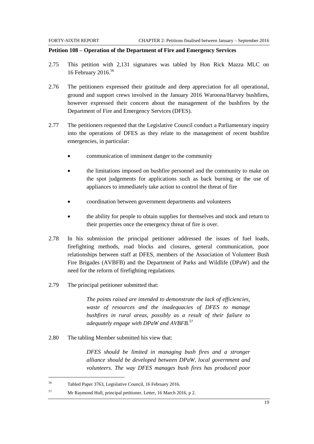#### <span id="page-22-0"></span>**Petition 108 – Operation of the Department of Fire and Emergency Services**

- 2.75 This petition with 2,131 signatures was tabled by Hon Rick Mazza MLC on 16 February 2016.<sup>56</sup>
- 2.76 The petitioners expressed their gratitude and deep appreciation for all operational, ground and support crews involved in the January 2016 Waroona/Harvey bushfires, however expressed their concern about the management of the bushfires by the Department of Fire and Emergency Services (DFES).
- 2.77 The petitioners requested that the Legislative Council conduct a Parliamentary inquiry into the operations of DFES as they relate to the management of recent bushfire emergencies, in particular:
	- communication of imminent danger to the community
	- the limitations imposed on bushfire personnel and the community to make on the spot judgements for applications such as back burning or the use of appliances to immediately take action to control the threat of fire
	- coordination between government departments and volunteers
	- the ability for people to obtain supplies for themselves and stock and return to their properties once the emergency threat of fire is over.
- 2.78 In his submission the principal petitioner addressed the issues of fuel loads, firefighting methods, road blocks and closures, general communication, poor relationships between staff at DFES, members of the Association of Volunteer Bush Fire Brigades (AVBFB) and the Department of Parks and Wildlife (DPaW) and the need for the reform of firefighting regulations.
- 2.79 The principal petitioner submitted that:

*The points raised are intended to demonstrate the lack of efficiencies, waste of resources and the inadequacies of DFES to manage bushfires in rural areas, possibly as a result of their failure to adequately engage with DPaW and AVBFB.*<sup>57</sup>

2.80 The tabling Member submitted his view that:

*DFES should be limited in managing bush fires and a stronger alliance should be developed between DPaW, local government and volunteers. The way DFES manages bush fires has produced poor* 

 $\overline{\phantom{a}}$ 

<sup>56</sup> Tabled Paper 3763, Legislative Council, 16 February 2016.

<sup>57</sup> Mr Raymond Hull, principal petitioner, Letter, 16 March 2016, p 2.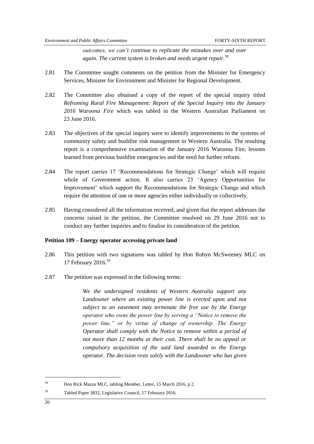*outcomes, we can't continue to replicate the mistakes over and over again. The current system is broken and needs urgent repair.*<sup>58</sup>

- 2.81 The Committee sought comments on the petition from the Minister for Emergency Services, Minister for Environment and Minister for Regional Development.
- 2.82 The Committee also obtained a copy of the report of the special inquiry titled *Reframing Rural Fire Management: Report of the Special Inquiry into the January 2016 Waroona Fire* which was tabled in the Western Australian Parliament on 23 June 2016.
- 2.83 The objectives of the special inquiry were to identify improvements to the systems of community safety and bushfire risk management in Western Australia. The resulting report is a comprehensive examination of the January 2016 Waroona Fire, lessons learned from previous bushfire emergencies and the need for further reform.
- 2.84 The report carries 17 'Recommendations for Strategic Change' which will require whole of Government action. It also carries 23 'Agency Opportunities for Improvement' which support the Recommendations for Strategic Change and which require the attention of one or more agencies either individually or collectively.
- 2.85 Having considered all the information received, and given that the report addresses the concerns raised in the petition, the Committee resolved on 29 June 2016 not to conduct any further inquiries and to finalise its consideration of the petition.

#### <span id="page-23-0"></span>**Petition 109 – Energy operator accessing private land**

- 2.86 This petition with two signatures was tabled by Hon Robyn McSweeney MLC on 17 February 2016.<sup>59</sup>
- 2.87 The petition was expressed in the following terms:

*We the undersigned residents of Western Australia support any Landowner where an existing power line is erected upon and not subject to an easement may terminate the free use by the Energy operator who owns the power line by serving a "Notice to remove the power line," or by virtue of change of ownership. The Energy Operator shall comply with the Notice to remove within a period of not more than 12 months at their cost. There shall be no appeal or compulsory acquisition of the said land awarded to the Energy operator. The decision rests solely with the Landowner who has given* 

<sup>58</sup> Hon Rick Mazza MLC, tabling Member, Letter, 15 March 2016, p 2.

<sup>59</sup> Tabled Paper 3832, Legislative Council, 17 February 2016.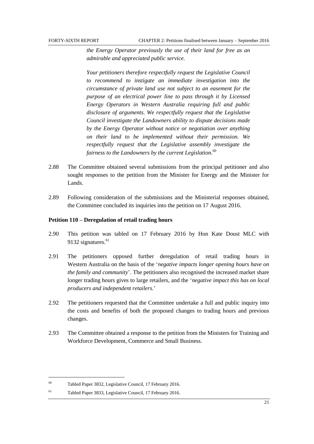*the Energy Operator previously the use of their land for free as an admirable and appreciated public service.*

*Your petitioners therefore respectfully request the Legislative Council to recommend to instigate an immediate investigation into the circumstance of private land use not subject to an easement for the purpose of an electrical power line to pass through it by Licensed Energy Operators in Western Australia requiring full and public disclosure of arguments. We respectfully request that the Legislative Council investigate the Landowners ability to dispute decisions made by the Energy Operator without notice or negotiation over anything on their land to be implemented without their permission. We respectfully request that the Legislative assembly investigate the fairness to the Landowners by the current Legislation.*<sup>60</sup>

- 2.88 The Committee obtained several submissions from the principal petitioner and also sought responses to the petition from the Minister for Energy and the Minister for Lands.
- 2.89 Following consideration of the submissions and the Ministerial responses obtained, the Committee concluded its inquiries into the petition on 17 August 2016.

#### <span id="page-24-0"></span>**Petition 110 – Deregulation of retail trading hours**

- 2.90 This petition was tabled on 17 February 2016 by Hon Kate Doust MLC with 9132 signatures.<sup>61</sup>
- 2.91 The petitioners opposed further deregulation of retail trading hours in Western Australia on the basis of the '*negative impacts longer opening hours have on the family and community*'. The petitioners also recognised the increased market share longer trading hours gives to large retailers, and the '*negative impact this has on local producers and independent retailers.*'
- 2.92 The petitioners requested that the Committee undertake a full and public inquiry into the costs and benefits of both the proposed changes to trading hours and previous changes.
- 2.93 The Committee obtained a response to the petition from the Ministers for Training and Workforce Development, Commerce and Small Business.

 $\overline{\phantom{a}}$ 

<sup>60</sup> Tabled Paper 3832, Legislative Council, 17 February 2016.

<sup>61</sup> Tabled Paper 3833, Legislative Council, 17 February 2016.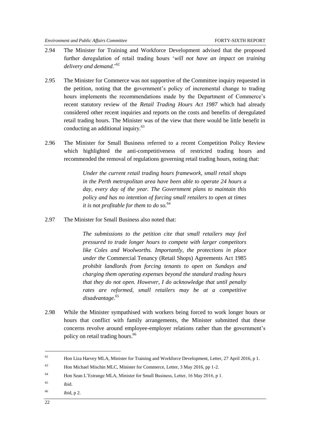- 2.94 The Minister for Training and Workforce Development advised that the proposed further deregulation of retail trading hours '*will not have an impact on training delivery and demand*.'<sup>62</sup>
- 2.95 The Minister for Commerce was not supportive of the Committee inquiry requested in the petition, noting that the government's policy of incremental change to trading hours implements the recommendations made by the Department of Commerce's recent statutory review of the *Retail Trading Hours Act 1987* which had already considered other recent inquiries and reports on the costs and benefits of deregulated retail trading hours. The Minister was of the view that there would be little benefit in conducting an additional inquiry.<sup>63</sup>
- 2.96 The Minister for Small Business referred to a recent Competition Policy Review which highlighted the anti-competitiveness of restricted trading hours and recommended the removal of regulations governing retail trading hours, noting that:

*Under the current retail trading hours framework, small retail shops in the Perth metropolitan area have been able to operate 24 hours a day, every day of the year. The Government plans to maintain this policy and has no intention of forcing small retailers to open at times it is not profitable for them to do so.*<sup>64</sup>

2.97 The Minister for Small Business also noted that:

*The submissions to the petition cite that small retailers may feel pressured to trade longer hours to compete with larger competitors like Coles and Woolworths. Importantly, the protections in place under the* Commercial Tenancy (Retail Shops) Agreements Act 1985 *prohibit landlords from forcing tenants to open on Sundays and charging them operating expenses beyond the standard trading hours that they do not open. However, I do acknowledge that until penalty rates are reformed, small retailers may be at a competitive disadvantage.*<sup>65</sup>

2.98 While the Minister sympathised with workers being forced to work longer hours or hours that conflict with family arrangements, the Minister submitted that these concerns revolve around employee-employer relations rather than the government's policy on retail trading hours.<sup>66</sup>

1

<sup>&</sup>lt;sup>62</sup> Hon Liza Harvey MLA, Minister for Training and Workforce Development, Letter, 27 April 2016, p 1.

<sup>63</sup> Hon Michael Mischin MLC, Minister for Commerce, Letter, 3 May 2016, pp 1-2.

<sup>64</sup> Hon Sean L'Estrange MLA, Minister for Small Business, Letter, 16 May 2016, p 1.

<sup>65</sup> ibid.

 $166$  ibid, p 2.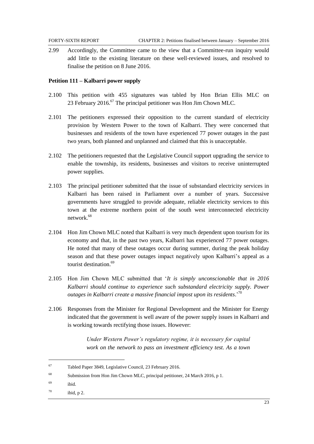2.99 Accordingly, the Committee came to the view that a Committee-run inquiry would add little to the existing literature on these well-reviewed issues, and resolved to finalise the petition on 8 June 2016.

#### <span id="page-26-0"></span>**Petition 111 – Kalbarri power supply**

- 2.100 This petition with 455 signatures was tabled by Hon Brian Ellis MLC on 23 February 2016.<sup>67</sup> The principal petitioner was Hon Jim Chown MLC.
- 2.101 The petitioners expressed their opposition to the current standard of electricity provision by Western Power to the town of Kalbarri. They were concerned that businesses and residents of the town have experienced 77 power outages in the past two years, both planned and unplanned and claimed that this is unacceptable.
- 2.102 The petitioners requested that the Legislative Council support upgrading the service to enable the township, its residents, businesses and visitors to receive uninterrupted power supplies.
- 2.103 The principal petitioner submitted that the issue of substandard electricity services in Kalbarri has been raised in Parliament over a number of years. Successive governments have struggled to provide adequate, reliable electricity services to this town at the extreme northern point of the south west interconnected electricity network.<sup>68</sup>
- 2.104 Hon Jim Chown MLC noted that Kalbarri is very much dependent upon tourism for its economy and that, in the past two years, Kalbarri has experienced 77 power outages. He noted that many of these outages occur during summer, during the peak holiday season and that these power outages impact negatively upon Kalbarri's appeal as a tourist destination. 69
- 2.105 Hon Jim Chown MLC submitted that '*It is simply unconscionable that in 2016 Kalbarri should continue to experience such substandard electricity supply. Power outages in Kalbarri create a massive financial impost upon its residents*.' 70
- 2.106 Responses from the Minister for Regional Development and the Minister for Energy indicated that the government is well aware of the power supply issues in Kalbarri and is working towards rectifying those issues. However:

*Under Western Power's regulatory regime, it is necessary for capital work on the network to pass an investment efficiency test. As a town* 

l

 $70$  ibid, p 2.

<sup>67</sup> Tabled Paper 3849, Legislative Council, 23 February 2016.

<sup>68</sup> Submission from Hon Jim Chown MLC, principal petitioner, 24 March 2016, p 1.

<sup>69</sup> ibid.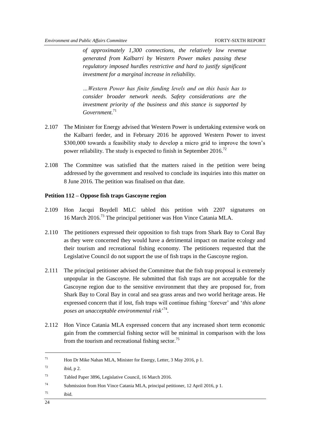*of approximately 1,300 connections, the relatively low revenue generated from Kalbarri by Western Power makes passing these regulatory imposed hurdles restrictive and hard to justify significant investment for a marginal increase in reliability.*

*…Western Power has finite funding levels and on this basis has to consider broader network needs. Safety considerations are the investment priority of the business and this stance is supported by Government.*<sup>71</sup>

- 2.107 The Minister for Energy advised that Western Power is undertaking extensive work on the Kalbarri feeder, and in February 2016 he approved Western Power to invest \$300,000 towards a feasibility study to develop a micro grid to improve the town's power reliability. The study is expected to finish in September 2016.<sup>72</sup>
- 2.108 The Committee was satisfied that the matters raised in the petition were being addressed by the government and resolved to conclude its inquiries into this matter on 8 June 2016. The petition was finalised on that date.

#### <span id="page-27-0"></span>**Petition 112 – Oppose fish traps Gascoyne region**

- 2.109 Hon Jacqui Boydell MLC tabled this petition with 2207 signatures on 16 March 2016.<sup>73</sup> The principal petitioner was Hon Vince Catania MLA.
- 2.110 The petitioners expressed their opposition to fish traps from Shark Bay to Coral Bay as they were concerned they would have a detrimental impact on marine ecology and their tourism and recreational fishing economy. The petitioners requested that the Legislative Council do not support the use of fish traps in the Gascoyne region.
- 2.111 The principal petitioner advised the Committee that the fish trap proposal is extremely unpopular in the Gascoyne. He submitted that fish traps are not acceptable for the Gascoyne region due to the sensitive environment that they are proposed for, from Shark Bay to Coral Bay in coral and sea grass areas and two world heritage areas. He expressed concern that if lost, fish traps will continue fishing 'forever' and '*this alone poses an unacceptable environmental risk*' 74 .
- 2.112 Hon Vince Catania MLA expressed concern that any increased short term economic gain from the commercial fishing sector will be minimal in comparison with the loss from the tourism and recreational fishing sector.<sup>75</sup>

 $75$  ibid.

<sup>71</sup> Hon Dr Mike Nahan MLA, Minister for Energy, Letter, 3 May 2016, p 1.

 $^{72}$  ibid, p 2.

<sup>73</sup> Tabled Paper 3896, Legislative Council, 16 March 2016.

<sup>74</sup> Submission from Hon Vince Catania MLA, principal petitioner, 12 April 2016, p 1.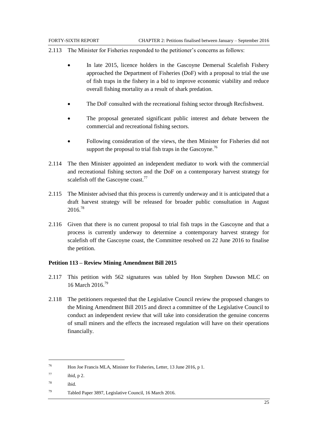- 2.113 The Minister for Fisheries responded to the petitioner's concerns as follows:
	- In late 2015, licence holders in the Gascoyne Demersal Scalefish Fishery approached the Department of Fisheries (DoF) with a proposal to trial the use of fish traps in the fishery in a bid to improve economic viability and reduce overall fishing mortality as a result of shark predation.
	- The DoF consulted with the recreational fishing sector through Recfishwest.
	- The proposal generated significant public interest and debate between the commercial and recreational fishing sectors.
	- Following consideration of the views, the then Minister for Fisheries did not support the proposal to trial fish traps in the Gascoyne.<sup>76</sup>
- 2.114 The then Minister appointed an independent mediator to work with the commercial and recreational fishing sectors and the DoF on a contemporary harvest strategy for scalefish off the Gascoyne coast.<sup>77</sup>
- 2.115 The Minister advised that this process is currently underway and it is anticipated that a draft harvest strategy will be released for broader public consultation in August 2016.<sup>78</sup>
- 2.116 Given that there is no current proposal to trial fish traps in the Gascoyne and that a process is currently underway to determine a contemporary harvest strategy for scalefish off the Gascoyne coast, the Committee resolved on 22 June 2016 to finalise the petition.

#### <span id="page-28-0"></span>**Petition 113 – Review Mining Amendment Bill 2015**

- 2.117 This petition with 562 signatures was tabled by Hon Stephen Dawson MLC on 16 March 2016.<sup>79</sup>
- 2.118 The petitioners requested that the Legislative Council review the proposed changes to the Mining Amendment Bill 2015 and direct a committee of the Legislative Council to conduct an independent review that will take into consideration the genuine concerns of small miners and the effects the increased regulation will have on their operations financially.

<sup>76</sup> Hon Joe Francis MLA, Minister for Fisheries, Letter, 13 June 2016, p 1.

 $77$  ibid, p 2.

<sup>78</sup> ibid.

<sup>79</sup> Tabled Paper 3897, Legislative Council, 16 March 2016.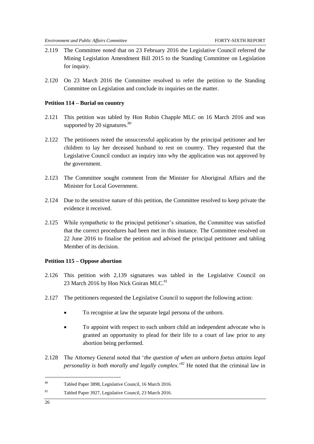- 2.119 The Committee noted that on 23 February 2016 the Legislative Council referred the Mining Legislation Amendment Bill 2015 to the Standing Committee on Legislation for inquiry.
- 2.120 On 23 March 2016 the Committee resolved to refer the petition to the Standing Committee on Legislation and conclude its inquiries on the matter.

#### <span id="page-29-0"></span>**Petition 114 – Burial on country**

- 2.121 This petition was tabled by Hon Robin Chapple MLC on 16 March 2016 and was supported by 20 signatures. $80$
- 2.122 The petitioners noted the unsuccessful application by the principal petitioner and her children to lay her deceased husband to rest on country. They requested that the Legislative Council conduct an inquiry into why the application was not approved by the government.
- 2.123 The Committee sought comment from the Minister for Aboriginal Affairs and the Minister for Local Government.
- 2.124 Due to the sensitive nature of this petition, the Committee resolved to keep private the evidence it received.
- 2.125 While sympathetic to the principal petitioner's situation, the Committee was satisfied that the correct procedures had been met in this instance. The Committee resolved on 22 June 2016 to finalise the petition and advised the principal petitioner and tabling Member of its decision.

#### <span id="page-29-1"></span>**Petition 115 – Oppose abortion**

- 2.126 This petition with 2,139 signatures was tabled in the Legislative Council on 23 March 2016 by Hon Nick Goiran MLC.<sup>81</sup>
- 2.127 The petitioners requested the Legislative Council to support the following action:
	- To recognise at law the separate legal persona of the unborn.
	- To appoint with respect to each unborn child an independent advocate who is granted an opportunity to plead for their life to a court of law prior to any abortion being performed.
- 2.128 The Attorney General noted that '*the question of when an unborn foetus attains legal personality is both morally and legally complex.*' <sup>82</sup> He noted that the criminal law in

<sup>80</sup> Tabled Paper 3898, Legislative Council, 16 March 2016.

<sup>81</sup> Tabled Paper 3927, Legislative Council, 23 March 2016.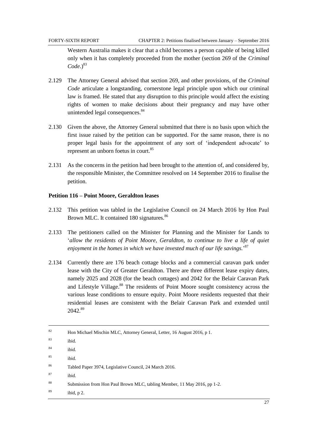Western Australia makes it clear that a child becomes a person capable of being killed only when it has completely proceeded from the mother (section 269 of the *Criminal*   $Code.<sup>83</sup>$ 

- 2.129 The Attorney General advised that section 269, and other provisions, of the *Criminal Code* articulate a longstanding, cornerstone legal principle upon which our criminal law is framed. He stated that any disruption to this principle would affect the existing rights of women to make decisions about their pregnancy and may have other unintended legal consequences.<sup>84</sup>
- 2.130 Given the above, the Attorney General submitted that there is no basis upon which the first issue raised by the petition can be supported. For the same reason, there is no proper legal basis for the appointment of any sort of 'independent advocate' to represent an unborn foetus in court.<sup>85</sup>
- 2.131 As the concerns in the petition had been brought to the attention of, and considered by, the responsible Minister, the Committee resolved on 14 September 2016 to finalise the petition.

#### <span id="page-30-0"></span>**Petition 116 – Point Moore, Geraldton leases**

- 2.132 This petition was tabled in the Legislative Council on 24 March 2016 by Hon Paul Brown MLC. It contained 180 signatures.<sup>86</sup>
- 2.133 The petitioners called on the Minister for Planning and the Minister for Lands to '*allow the residents of Point Moore, Geraldton, to continue to live a life of quiet enjoyment in the homes in which we have invested much of our life savings.*' 87
- 2.134 Currently there are 176 beach cottage blocks and a commercial caravan park under lease with the City of Greater Geraldton. There are three different lease expiry dates, namely 2025 and 2028 (for the beach cottages) and 2042 for the Belair Caravan Park and Lifestyle Village.<sup>88</sup> The residents of Point Moore sought consistency across the various lease conditions to ensure equity. Point Moore residents requested that their residential leases are consistent with the Belair Caravan Park and extended until 2042. 89

| 82 | Hon Michael Mischin MLC, Attorney General, Letter, 16 August 2016, p 1.  |
|----|--------------------------------------------------------------------------|
| 83 | ibid.                                                                    |
| 84 | ibid.                                                                    |
| 85 | ibid.                                                                    |
| 86 | Tabled Paper 3974, Legislative Council, 24 March 2016.                   |
| 87 | ibid.                                                                    |
| 88 | Submission from Hon Paul Brown MLC, tabling Member, 11 May 2016, pp 1-2. |
| 89 | ibid, $p2$ .                                                             |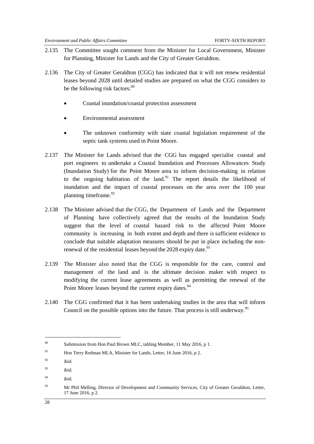- 2.135 The Committee sought comment from the Minister for Local Government, Minister for Planning, Minister for Lands and the City of Greater Geraldton.
- 2.136 The City of Greater Geraldton (CGG) has indicated that it will not renew residential leases beyond 2028 until detailed studies are prepared on what the CGG considers to be the following risk factors:  $90^\circ$ 
	- Coastal inundation/coastal protection assessment
	- Environmental assessment
	- The unknown conformity with state coastal legislation requirement of the septic tank systems used in Point Moore.
- 2.137 The Minister for Lands advised that the CGG has engaged specialist coastal and port engineers to undertake a Coastal Inundation and Processes Allowances Study (Inundation Study) for the Point Moore area to inform decision-making in relation to the ongoing habitation of the land.<sup>91</sup> The report details the likelihood of inundation and the impact of coastal processes on the area over the 100 year planning timeframe. $92$
- 2.138 The Minister advised that the CGG, the Department of Lands and the Department of Planning have collectively agreed that the results of the Inundation Study suggest that the level of coastal hazard risk to the affected Point Moore community is increasing in both extent and depth and there is sufficient evidence to conclude that suitable adaptation measures should be put in place including the nonrenewal of the residential leases beyond the 2028 expiry date.<sup>93</sup>
- 2.139 The Minister also noted that the CGG is responsible for the care, control and management of the land and is the ultimate decision maker with respect to modifying the current lease agreements as well as permitting the renewal of the Point Moore leases beyond the current expiry dates.<sup>94</sup>
- 2.140 The CGG confirmed that it has been undertaking studies in the area that will inform Council on the possible options into the future. That process is still underway.<sup>95</sup>

<sup>90</sup> Submission from Hon Paul Brown MLC, tabling Member, 11 May 2016, p 1.

<sup>&</sup>lt;sup>91</sup> Hon Terry Redman MLA, Minister for Lands, Letter, 16 June 2016, p 2.

 $92$  ibid.

 $93$  ibid.

<sup>94</sup> ibid.

<sup>&</sup>lt;sup>95</sup> Mr Phil Melling, Director of Development and Community Services, City of Greater Geraldton, Letter, 17 June 2016, p 2.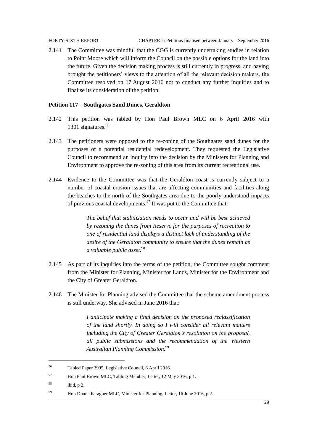2.141 The Committee was mindful that the CGG is currently undertaking studies in relation to Point Moore which will inform the Council on the possible options for the land into the future. Given the decision making process is still currently in progress, and having brought the petitioners' views to the attention of all the relevant decision makers, the Committee resolved on 17 August 2016 not to conduct any further inquiries and to finalise its consideration of the petition.

#### <span id="page-32-0"></span>**Petition 117 – Southgates Sand Dunes, Geraldton**

- 2.142 This petition was tabled by Hon Paul Brown MLC on 6 April 2016 with 1301 signatures.<sup>96</sup>
- 2.143 The petitioners were opposed to the re-zoning of the Southgates sand dunes for the purposes of a potential residential redevelopment. They requested the Legislative Council to recommend an inquiry into the decision by the Ministers for Planning and Environment to approve the re-zoning of this area from its current recreational use.
- 2.144 Evidence to the Committee was that the Geraldton coast is currently subject to a number of coastal erosion issues that are affecting communities and facilities along the beaches to the north of the Southgates area due to the poorly understood impacts of previous coastal developments. $97$  It was put to the Committee that:

*The belief that stabilisation needs to occur and will be best achieved by rezoning the dunes from Reserve for the purposes of recreation to one of residential land displays a distinct lack of understanding of the desire of the Geraldton community to ensure that the dunes remain as a valuable public asset.*<sup>98</sup>

- 2.145 As part of its inquiries into the terms of the petition, the Committee sought comment from the Minister for Planning, Minister for Lands, Minister for the Environment and the City of Greater Geraldton.
- 2.146 The Minister for Planning advised the Committee that the scheme amendment process is still underway. She advised in June 2016 that:

*I anticipate making a final decision on the proposed reclassification of the land shortly. In doing so I will consider all relevant matters including the City of Greater Geraldton's resolution on the proposal, all public submissions and the recommendation of the Western Australian Planning Commission.*<sup>99</sup>

<sup>96</sup> Tabled Paper 3995, Legislative Council, 6 April 2016.

<sup>97</sup> Hon Paul Brown MLC, Tabling Member, Letter, 12 May 2016, p 1.

 $98$  ibid, p 2.

<sup>99</sup> Hon Donna Faragher MLC, Minister for Planning, Letter, 16 June 2016, p 2.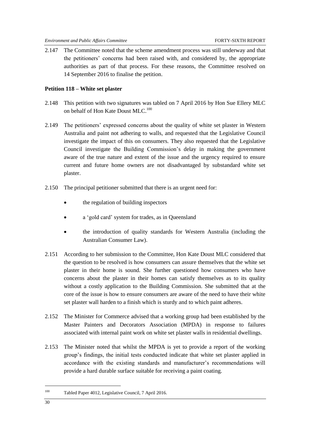2.147 The Committee noted that the scheme amendment process was still underway and that the petitioners' concerns had been raised with, and considered by, the appropriate authorities as part of that process. For these reasons, the Committee resolved on 14 September 2016 to finalise the petition.

#### <span id="page-33-0"></span>**Petition 118 – White set plaster**

- 2.148 This petition with two signatures was tabled on 7 April 2016 by Hon Sue Ellery MLC on behalf of Hon Kate Doust MLC.<sup>100</sup>
- 2.149 The petitioners' expressed concerns about the quality of white set plaster in Western Australia and paint not adhering to walls, and requested that the Legislative Council investigate the impact of this on consumers. They also requested that the Legislative Council investigate the Building Commission's delay in making the government aware of the true nature and extent of the issue and the urgency required to ensure current and future home owners are not disadvantaged by substandard white set plaster.
- 2.150 The principal petitioner submitted that there is an urgent need for:
	- the regulation of building inspectors
	- a 'gold card' system for trades, as in Queensland
	- the introduction of quality standards for Western Australia (including the Australian Consumer Law).
- 2.151 According to her submission to the Committee, Hon Kate Doust MLC considered that the question to be resolved is how consumers can assure themselves that the white set plaster in their home is sound. She further questioned how consumers who have concerns about the plaster in their homes can satisfy themselves as to its quality without a costly application to the Building Commission. She submitted that at the core of the issue is how to ensure consumers are aware of the need to have their white set plaster wall harden to a finish which is sturdy and to which paint adheres.
- 2.152 The Minister for Commerce advised that a working group had been established by the Master Painters and Decorators Association (MPDA) in response to failures associated with internal paint work on white set plaster walls in residential dwellings.
- 2.153 The Minister noted that whilst the MPDA is yet to provide a report of the working group's findings, the initial tests conducted indicate that white set plaster applied in accordance with the existing standards and manufacturer's recommendations will provide a hard durable surface suitable for receiving a paint coating.

<sup>100</sup> Tabled Paper 4012, Legislative Council, 7 April 2016.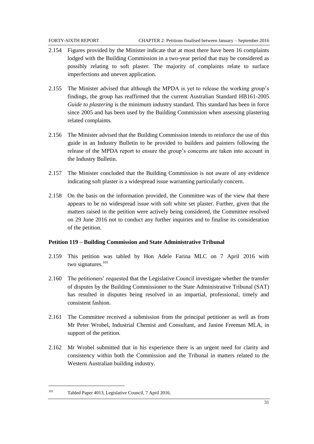- 2.154 Figures provided by the Minister indicate that at most there have been 16 complaints lodged with the Building Commission in a two-year period that may be considered as possibly relating to soft plaster. The majority of complaints relate to surface imperfections and uneven application.
- 2.155 The Minister advised that although the MPDA is yet to release the working group's findings, the group has reaffirmed that the current Australian Standard HB161-2005 *Guide to plastering* is the minimum industry standard. This standard has been in force since 2005 and has been used by the Building Commission when assessing plastering related complaints.
- 2.156 The Minister advised that the Building Commission intends to reinforce the use of this guide in an Industry Bulletin to be provided to builders and painters following the release of the MPDA report to ensure the group's concerns are taken into account in the Industry Bulletin.
- 2.157 The Minister concluded that the Building Commission is not aware of any evidence indicating soft plaster is a widespread issue warranting particularly concern.
- 2.158 On the basis on the information provided, the Committee was of the view that there appears to be no widespread issue with soft white set plaster. Further, given that the matters raised in the petition were actively being considered, the Committee resolved on 29 June 2016 not to conduct any further inquiries and to finalise its consideration of the petition.

#### <span id="page-34-0"></span>**Petition 119 – Building Commission and State Administrative Tribunal**

- 2.159 This petition was tabled by Hon Adele Farina MLC on 7 April 2016 with two signatures.<sup>101</sup>
- 2.160 The petitioners' requested that the Legislative Council investigate whether the transfer of disputes by the Building Commissioner to the State Administrative Tribunal (SAT) has resulted in disputes being resolved in an impartial, professional, timely and consistent fashion.
- 2.161 The Committee received a submission from the principal petitioner as well as from Mr Peter Wrobel, Industrial Chemist and Consultant, and Janine Freeman MLA, in support of the petition.
- 2.162 Mr Wrobel submitted that in his experience there is an urgent need for clarity and consistency within both the Commission and the Tribunal in matters related to the Western Australian building industry.

<sup>101</sup> Tabled Paper 4013, Legislative Council, 7 April 2016.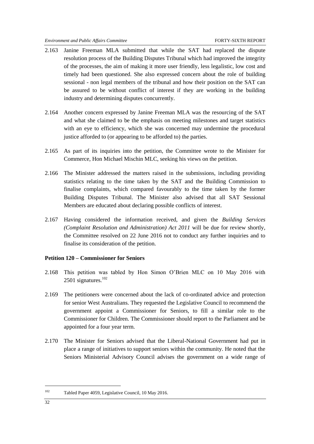- 2.163 Janine Freeman MLA submitted that while the SAT had replaced the dispute resolution process of the Building Disputes Tribunal which had improved the integrity of the processes, the aim of making it more user friendly, less legalistic, low cost and timely had been questioned. She also expressed concern about the role of building sessional - non legal members of the tribunal and how their position on the SAT can be assured to be without conflict of interest if they are working in the building industry and determining disputes concurrently.
- 2.164 Another concern expressed by Janine Freeman MLA was the resourcing of the SAT and what she claimed to be the emphasis on meeting milestones and target statistics with an eye to efficiency, which she was concerned may undermine the procedural justice afforded to (or appearing to be afforded to) the parties.
- 2.165 As part of its inquiries into the petition, the Committee wrote to the Minister for Commerce, Hon Michael Mischin MLC, seeking his views on the petition.
- 2.166 The Minister addressed the matters raised in the submissions, including providing statistics relating to the time taken by the SAT and the Building Commission to finalise complaints, which compared favourably to the time taken by the former Building Disputes Tribunal. The Minister also advised that all SAT Sessional Members are educated about declaring possible conflicts of interest.
- 2.167 Having considered the information received, and given the *Building Services (Complaint Resolution and Administration) Act 2011* will be due for review shortly, the Committee resolved on 22 June 2016 not to conduct any further inquiries and to finalise its consideration of the petition.

#### <span id="page-35-0"></span>**Petition 120 – Commissioner for Seniors**

- 2.168 This petition was tabled by Hon Simon O'Brien MLC on 10 May 2016 with 2501 signatures.<sup>102</sup>
- 2.169 The petitioners were concerned about the lack of co-ordinated advice and protection for senior West Australians. They requested the Legislative Council to recommend the government appoint a Commissioner for Seniors, to fill a similar role to the Commissioner for Children. The Commissioner should report to the Parliament and be appointed for a four year term.
- 2.170 The Minister for Seniors advised that the Liberal-National Government had put in place a range of initiatives to support seniors within the community. He noted that the Seniors Ministerial Advisory Council advises the government on a wide range of

<sup>102</sup> Tabled Paper 4059, Legislative Council, 10 May 2016.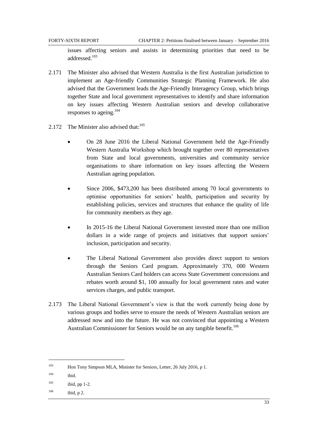issues affecting seniors and assists in determining priorities that need to be addressed.<sup>103</sup>

- 2.171 The Minister also advised that Western Australia is the first Australian jurisdiction to implement an Age-friendly Communities Strategic Planning Framework. He also advised that the Government leads the Age-Friendly Interagency Group, which brings together State and local government representatives to identify and share information on key issues affecting Western Australian seniors and develop collaborative responses to ageing.<sup>104</sup>
- 2.172 The Minister also advised that: $105$ 
	- On 28 June 2016 the Liberal National Government held the Age-Friendly Western Australia Workshop which brought together over 80 representatives from State and local governments, universities and community service organisations to share information on key issues affecting the Western Australian ageing population.
	- Since 2006, \$473,200 has been distributed among 70 local governments to optimise opportunities for seniors' health, participation and security by establishing policies, services and structures that enhance the quality of life for community members as they age.
	- In 2015-16 the Liberal National Government invested more than one million dollars in a wide range of projects and initiatives that support seniors' inclusion, participation and security.
	- The Liberal National Government also provides direct support to seniors through the Seniors Card program. Approximately 370, 000 Western Australian Seniors Card holders can access State Government concessions and rebates worth around \$1, 100 annually for local government rates and water services charges, and public transport.
- 2.173 The Liberal National Government's view is that the work currently being done by various groups and bodies serve to ensure the needs of Western Australian seniors are addressed now and into the future. He was not convinced that appointing a Western Australian Commissioner for Seniors would be on any tangible benefit.<sup>106</sup>

<sup>103</sup> Hon Tony Simpson MLA, Minister for Seniors, Letter, 26 July 2016, p 1.

 $104$  ibid.

 $105$  ibid, pp 1-2.

 $106$  ibid, p 2.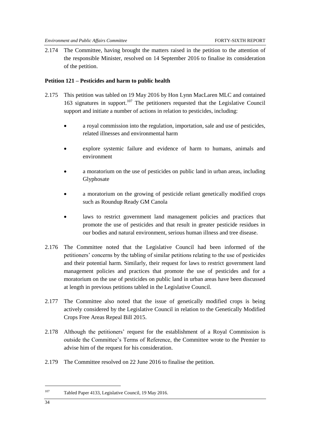2.174 The Committee, having brought the matters raised in the petition to the attention of the responsible Minister, resolved on 14 September 2016 to finalise its consideration of the petition.

### <span id="page-37-0"></span>**Petition 121 – Pesticides and harm to public health**

- 2.175 This petition was tabled on 19 May 2016 by Hon Lynn MacLaren MLC and contained 163 signatures in support.<sup>107</sup> The petitioners requested that the Legislative Council support and initiate a number of actions in relation to pesticides, including:
	- a royal commission into the regulation, importation, sale and use of pesticides, related illnesses and environmental harm
	- explore systemic failure and evidence of harm to humans, animals and environment
	- a moratorium on the use of pesticides on public land in urban areas, including Glyphosate
	- a moratorium on the growing of pesticide reliant genetically modified crops such as Roundup Ready GM Canola
	- laws to restrict government land management policies and practices that promote the use of pesticides and that result in greater pesticide residues in our bodies and natural environment, serious human illness and tree disease.
- 2.176 The Committee noted that the Legislative Council had been informed of the petitioners' concerns by the tabling of similar petitions relating to the use of pesticides and their potential harm. Similarly, their request for laws to restrict government land management policies and practices that promote the use of pesticides and for a moratorium on the use of pesticides on public land in urban areas have been discussed at length in previous petitions tabled in the Legislative Council.
- 2.177 The Committee also noted that the issue of genetically modified crops is being actively considered by the Legislative Council in relation to the Genetically Modified Crops Free Areas Repeal Bill 2015.
- 2.178 Although the petitioners' request for the establishment of a Royal Commission is outside the Committee's Terms of Reference, the Committee wrote to the Premier to advise him of the request for his consideration.
- 2.179 The Committee resolved on 22 June 2016 to finalise the petition.

<sup>107</sup> Tabled Paper 4133, Legislative Council, 19 May 2016.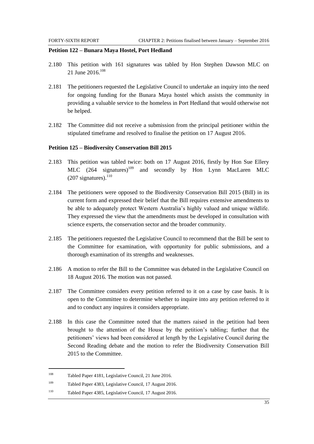#### <span id="page-38-0"></span>**Petition 122 – Bunara Maya Hostel, Port Hedland**

- 2.180 This petition with 161 signatures was tabled by Hon Stephen Dawson MLC on 21 June 2016.<sup>108</sup>
- 2.181 The petitioners requested the Legislative Council to undertake an inquiry into the need for ongoing funding for the Bunara Maya hostel which assists the community in providing a valuable service to the homeless in Port Hedland that would otherwise not be helped.
- 2.182 The Committee did not receive a submission from the principal petitioner within the stipulated timeframe and resolved to finalise the petition on 17 August 2016.

#### <span id="page-38-1"></span>**Petition 125 – Biodiversity Conservation Bill 2015**

- 2.183 This petition was tabled twice: both on 17 August 2016, firstly by Hon Sue Ellery MLC  $(264 \text{ signatures})^{109}$  and secondly by Hon Lynn MacLaren MLC  $(207$  signatures).<sup>110</sup>
- 2.184 The petitioners were opposed to the Biodiversity Conservation Bill 2015 (Bill) in its current form and expressed their belief that the Bill requires extensive amendments to be able to adequately protect Western Australia's highly valued and unique wildlife. They expressed the view that the amendments must be developed in consultation with science experts, the conservation sector and the broader community.
- 2.185 The petitioners requested the Legislative Council to recommend that the Bill be sent to the Committee for examination, with opportunity for public submissions, and a thorough examination of its strengths and weaknesses.
- 2.186 A motion to refer the Bill to the Committee was debated in the Legislative Council on 18 August 2016. The motion was not passed.
- 2.187 The Committee considers every petition referred to it on a case by case basis. It is open to the Committee to determine whether to inquire into any petition referred to it and to conduct any inquires it considers appropriate.
- 2.188 In this case the Committee noted that the matters raised in the petition had been brought to the attention of the House by the petition's tabling; further that the petitioners' views had been considered at length by the Legislative Council during the Second Reading debate and the motion to refer the Biodiversity Conservation Bill 2015 to the Committee.

<sup>108</sup> Tabled Paper 4181, Legislative Council, 21 June 2016.

<sup>109</sup> Tabled Paper 4383, Legislative Council, 17 August 2016.

<sup>110</sup> Tabled Paper 4385, Legislative Council, 17 August 2016.